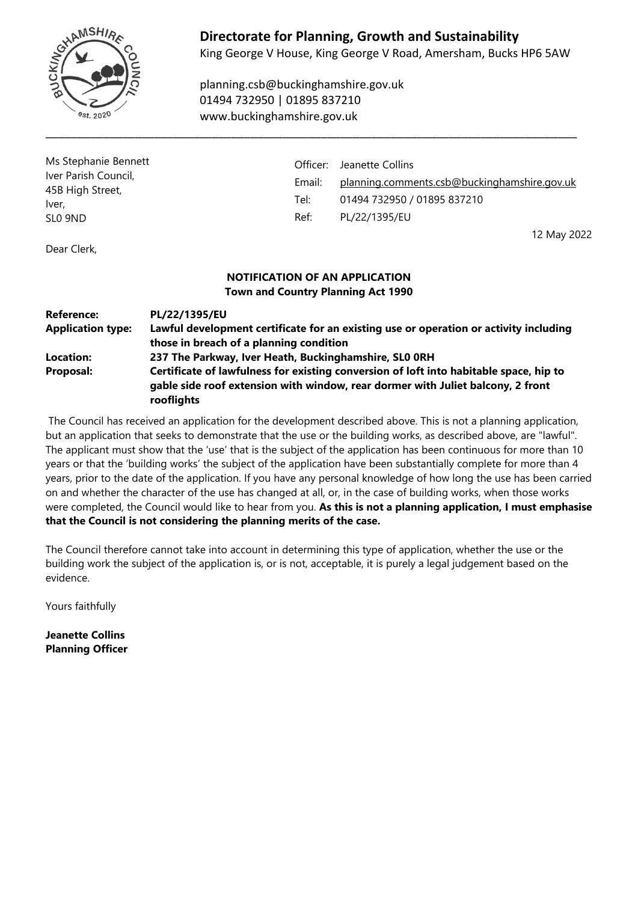

# **Directorate for Planning, Growth and Sustainability**

King George V House, King George V Road, Amersham, Bucks HP6 5AW

planning.csb@buckinghamshire.gov.uk 01494 732950 | 01895 837210 www.buckinghamshire.gov.uk

\_\_\_\_\_\_\_\_\_\_\_\_\_\_\_\_\_\_\_\_\_\_\_\_\_\_\_\_\_\_\_\_\_\_\_\_\_\_\_\_\_\_\_\_\_\_\_\_\_\_\_\_\_\_\_\_\_\_\_\_\_\_\_\_\_\_\_\_\_\_\_\_\_\_\_\_\_\_\_\_\_\_\_

| Ms Stephanie Bennett<br>Iver Parish Council,<br>45B High Street,<br>Iver, | Officer: | Jeanette Collins                             |
|---------------------------------------------------------------------------|----------|----------------------------------------------|
|                                                                           | Email:   | planning.comments.csb@buckinghamshire.gov.uk |
|                                                                           | Tel:     | 01494 732950 / 01895 837210                  |
| SLO 9ND                                                                   | Ref:     | PL/22/1395/EU                                |
|                                                                           |          | 12 May 2022                                  |

Dear Clerk,

#### **NOTIFICATION OF AN APPLICATION Town and Country Planning Act 1990**

| <b>Reference:</b><br><b>Application type:</b> | PL/22/1395/EU<br>Lawful development certificate for an existing use or operation or activity including                                                                                  |
|-----------------------------------------------|-----------------------------------------------------------------------------------------------------------------------------------------------------------------------------------------|
|                                               | those in breach of a planning condition                                                                                                                                                 |
| Location:                                     | 237 The Parkway, Iver Heath, Buckinghamshire, SLO ORH                                                                                                                                   |
| Proposal:                                     | Certificate of lawfulness for existing conversion of loft into habitable space, hip to<br>gable side roof extension with window, rear dormer with Juliet balcony, 2 front<br>rooflights |

The Council has received an application for the development described above. This is not a planning application, but an application that seeks to demonstrate that the use or the building works, as described above, are "lawful". The applicant must show that the 'use' that is the subject of the application has been continuous for more than 10 years or that the 'building works' the subject of the application have been substantially complete for more than 4 years, prior to the date of the application. If you have any personal knowledge of how long the use has been carried on and whether the character of the use has changed at all, or, in the case of building works, when those works were completed, the Council would like to hear from you. **As this is not a planning application, I must emphasise that the Council is not considering the planning merits of the case.**

The Council therefore cannot take into account in determining this type of application, whether the use or the building work the subject of the application is, or is not, acceptable, it is purely a legal judgement based on the evidence.

Yours faithfully

**Jeanette Collins Planning Officer**